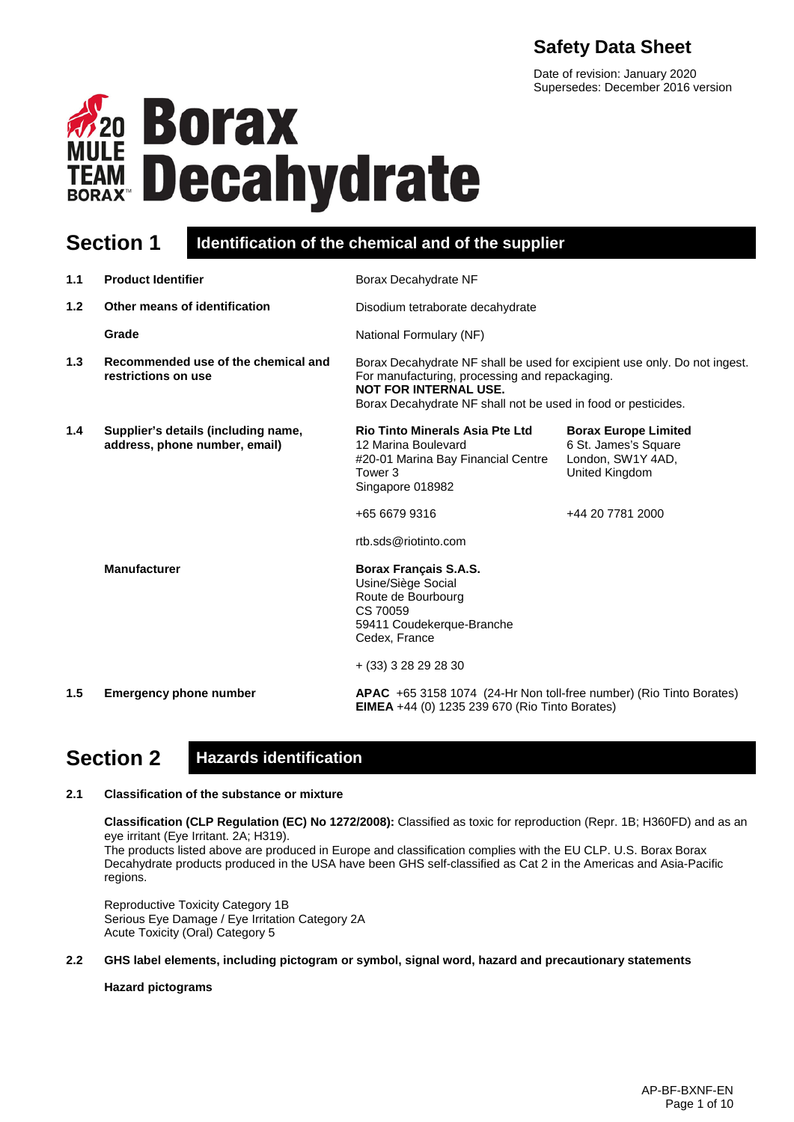# **Safety Data Sheet**

Date of revision: January 2020 Supersedes: December 2016 version



# **Section 1 Identification of the chemical and of the supplier**

| 1.1              | <b>Product Identifier</b>                                            | Borax Decahydrate NF                                                                                                                                                                                                         |                                                                                                                |
|------------------|----------------------------------------------------------------------|------------------------------------------------------------------------------------------------------------------------------------------------------------------------------------------------------------------------------|----------------------------------------------------------------------------------------------------------------|
| 1.2 <sub>2</sub> | Other means of identification                                        | Disodium tetraborate decahydrate                                                                                                                                                                                             |                                                                                                                |
|                  | Grade                                                                | National Formulary (NF)                                                                                                                                                                                                      |                                                                                                                |
| 1.3              | Recommended use of the chemical and<br>restrictions on use           | Borax Decahydrate NF shall be used for excipient use only. Do not ingest.<br>For manufacturing, processing and repackaging.<br><b>NOT FOR INTERNAL USE.</b><br>Borax Decahydrate NF shall not be used in food or pesticides. |                                                                                                                |
| 1.4              | Supplier's details (including name,<br>address, phone number, email) | <b>Rio Tinto Minerals Asia Pte Ltd</b><br>12 Marina Boulevard<br>#20-01 Marina Bay Financial Centre<br>Tower 3<br>Singapore 018982<br>+65 6679 9316<br>rtb.sds@riotinto.com                                                  | <b>Borax Europe Limited</b><br>6 St. James's Square<br>London, SW1Y 4AD,<br>United Kingdom<br>+44 20 7781 2000 |
|                  | <b>Manufacturer</b>                                                  | <b>Borax Français S.A.S.</b><br>Usine/Siège Social<br>Route de Bourbourg<br>CS 70059<br>59411 Coudekerque-Branche<br>Cedex, France<br>$+$ (33) 3 28 29 28 30                                                                 |                                                                                                                |
| 1.5              | <b>Emergency phone number</b>                                        | APAC +65 3158 1074 (24-Hr Non toll-free number) (Rio Tinto Borates)<br><b>EIMEA</b> +44 (0) 1235 239 670 (Rio Tinto Borates)                                                                                                 |                                                                                                                |

# **Section 2 Hazards identification**

# **2.1 Classification of the substance or mixture**

**Classification (CLP Regulation (EC) No 1272/2008):** Classified as toxic for reproduction (Repr. 1B; H360FD) and as an eye irritant (Eye Irritant. 2A; H319).

The products listed above are produced in Europe and classification complies with the EU CLP. U.S. Borax Borax Decahydrate products produced in the USA have been GHS self-classified as Cat 2 in the Americas and Asia-Pacific regions.

Reproductive Toxicity Category 1B Serious Eye Damage / Eye Irritation Category 2A Acute Toxicity (Oral) Category 5

### **2.2 GHS label elements, including pictogram or symbol, signal word, hazard and precautionary statements**

### **Hazard pictograms**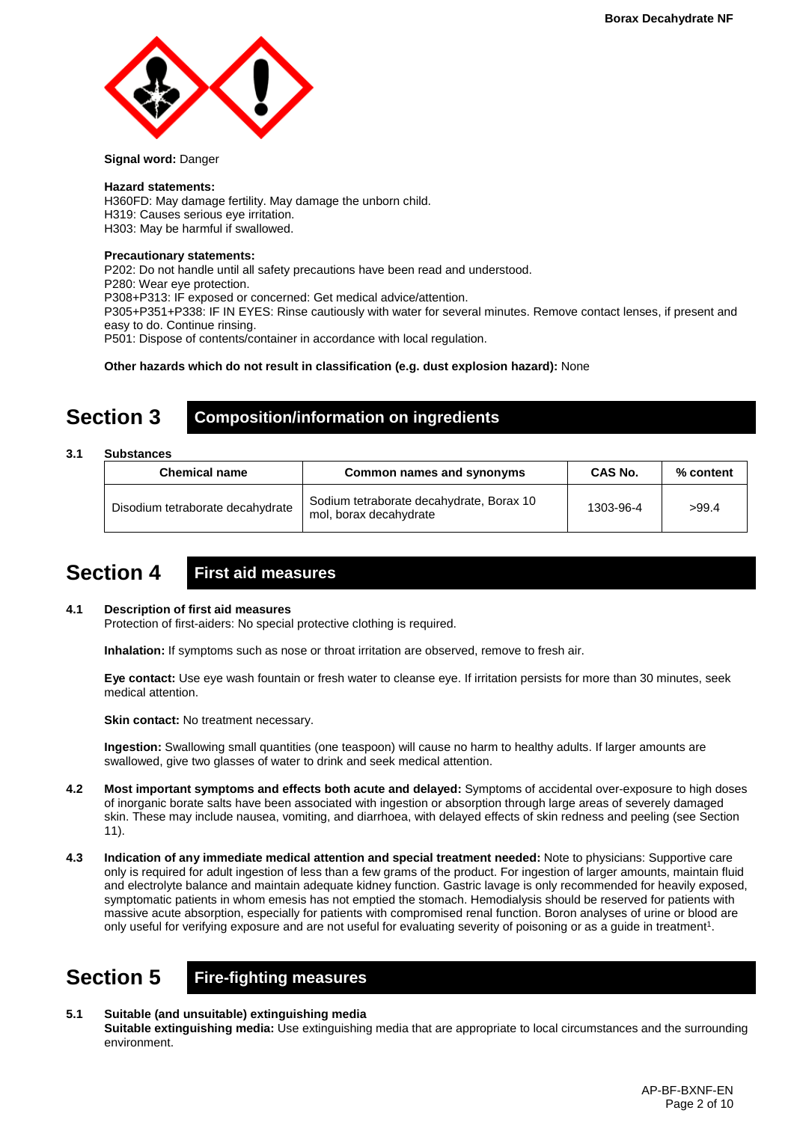

#### **Signal word:** Danger

#### **Hazard statements:**

H360FD: May damage fertility. May damage the unborn child. H319: Causes serious eye irritation. H303: May be harmful if swallowed.

#### **Precautionary statements:**

P202: Do not handle until all safety precautions have been read and understood. P280: Wear eye protection. P308+P313: IF exposed or concerned: Get medical advice/attention. P305+P351+P338: IF IN EYES: Rinse cautiously with water for several minutes. Remove contact lenses, if present and easy to do. Continue rinsing. P501: Dispose of contents/container in accordance with local regulation.

**Other hazards which do not result in classification (e.g. dust explosion hazard):** None

# **Section 3 Composition/information on ingredients**

### **3.1 Substances**

| <b>Chemical name</b>             | Common names and synonyms                                          | CAS No.   | % content |
|----------------------------------|--------------------------------------------------------------------|-----------|-----------|
| Disodium tetraborate decahydrate | Sodium tetraborate decahydrate, Borax 10<br>mol, borax decahydrate | 1303-96-4 | >99.4     |

# **Section 4 First aid measures**

### **4.1 Description of first aid measures**

Protection of first-aiders: No special protective clothing is required.

**Inhalation:** If symptoms such as nose or throat irritation are observed, remove to fresh air.

**Eye contact:** Use eye wash fountain or fresh water to cleanse eye. If irritation persists for more than 30 minutes, seek medical attention.

**Skin contact:** No treatment necessary.

**Ingestion:** Swallowing small quantities (one teaspoon) will cause no harm to healthy adults. If larger amounts are swallowed, give two glasses of water to drink and seek medical attention.

- **4.2 Most important symptoms and effects both acute and delayed:** Symptoms of accidental over-exposure to high doses of inorganic borate salts have been associated with ingestion or absorption through large areas of severely damaged skin. These may include nausea, vomiting, and diarrhoea, with delayed effects of skin redness and peeling (see Section 11).
- **4.3 Indication of any immediate medical attention and special treatment needed:** Note to physicians: Supportive care only is required for adult ingestion of less than a few grams of the product. For ingestion of larger amounts, maintain fluid and electrolyte balance and maintain adequate kidney function. Gastric lavage is only recommended for heavily exposed, symptomatic patients in whom emesis has not emptied the stomach. Hemodialysis should be reserved for patients with massive acute absorption, especially for patients with compromised renal function. Boron analyses of urine or blood are only useful for verifying exposure and are not useful for evaluating severity of poisoning or as a guide in treatment<sup>1</sup>.

# **Section 5 Fire-fighting measures**

**5.1 Suitable (and unsuitable) extinguishing media Suitable extinguishing media:** Use extinguishing media that are appropriate to local circumstances and the surrounding environment.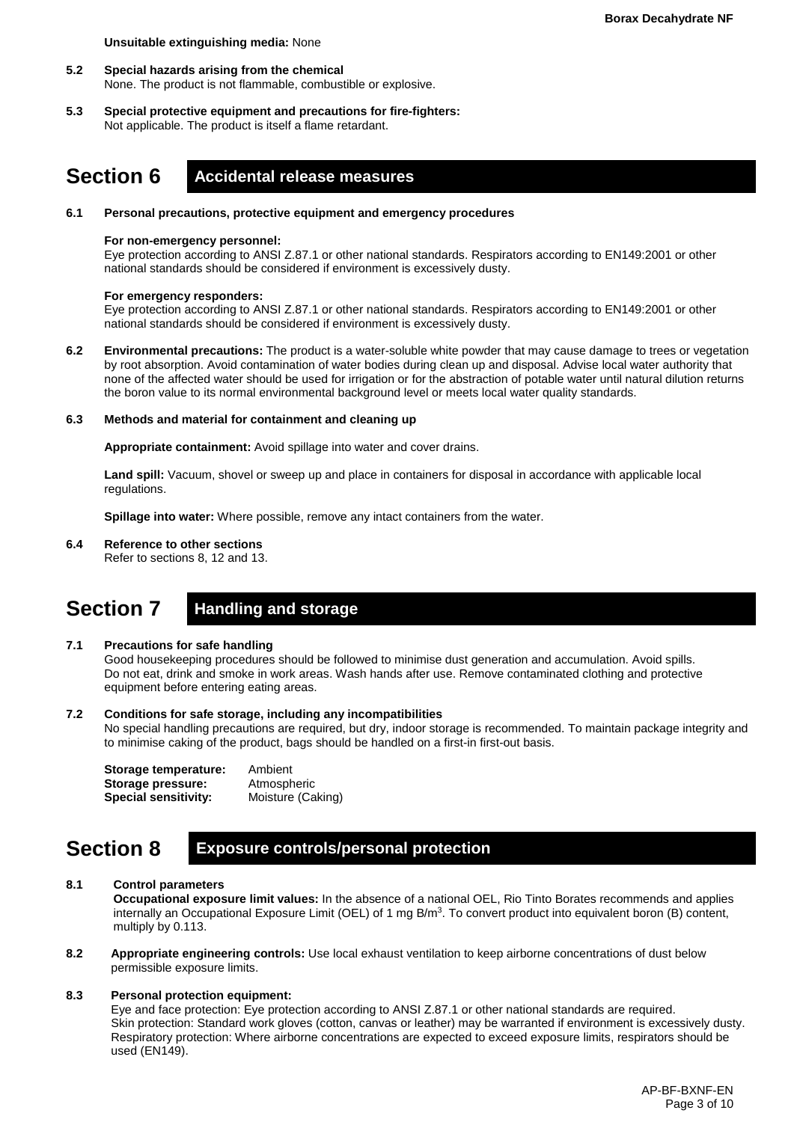#### **Unsuitable extinguishing media:** None

- **5.2 Special hazards arising from the chemical** None. The product is not flammable, combustible or explosive.
- **5.3 Special protective equipment and precautions for fire-fighters:**  Not applicable. The product is itself a flame retardant.

# **Section 6 Accidental release measures**

#### **6.1 Personal precautions, protective equipment and emergency procedures**

#### **For non-emergency personnel:**

Eye protection according to ANSI Z.87.1 or other national standards. Respirators according to EN149:2001 or other national standards should be considered if environment is excessively dusty.

#### **For emergency responders:**

Eye protection according to ANSI Z.87.1 or other national standards. Respirators according to EN149:2001 or other national standards should be considered if environment is excessively dusty.

**6.2 Environmental precautions:** The product is a water-soluble white powder that may cause damage to trees or vegetation by root absorption. Avoid contamination of water bodies during clean up and disposal. Advise local water authority that none of the affected water should be used for irrigation or for the abstraction of potable water until natural dilution returns the boron value to its normal environmental background level or meets local water quality standards.

#### **6.3 Methods and material for containment and cleaning up**

**Appropriate containment:** Avoid spillage into water and cover drains.

**Land spill:** Vacuum, shovel or sweep up and place in containers for disposal in accordance with applicable local regulations.

**Spillage into water:** Where possible, remove any intact containers from the water.

#### **6.4 Reference to other sections**

Refer to sections 8, 12 and 13.

# **Section 7 Handling and storage**

#### **7.1 Precautions for safe handling**

Good housekeeping procedures should be followed to minimise dust generation and accumulation. Avoid spills. Do not eat, drink and smoke in work areas. Wash hands after use. Remove contaminated clothing and protective equipment before entering eating areas.

#### **7.2 Conditions for safe storage, including any incompatibilities**

No special handling precautions are required, but dry, indoor storage is recommended. To maintain package integrity and to minimise caking of the product, bags should be handled on a first-in first-out basis.

| Storage temperature:        | Ambient           |
|-----------------------------|-------------------|
| Storage pressure:           | Atmospheric       |
| <b>Special sensitivity:</b> | Moisture (Caking) |

# **Section 8 Exposure controls/personal protection**

### **8.1 Control parameters**

**Occupational exposure limit values:** In the absence of a national OEL, Rio Tinto Borates recommends and applies internally an Occupational Exposure Limit (OEL) of 1 mg  $B/m<sup>3</sup>$ . To convert product into equivalent boron (B) content, multiply by 0.113.

**8.2 Appropriate engineering controls:** Use local exhaust ventilation to keep airborne concentrations of dust below permissible exposure limits.

#### **8.3 Personal protection equipment:**

Eye and face protection: Eye protection according to ANSI Z.87.1 or other national standards are required. Skin protection: Standard work gloves (cotton, canvas or leather) may be warranted if environment is excessively dusty. Respiratory protection: Where airborne concentrations are expected to exceed exposure limits, respirators should be used (EN149).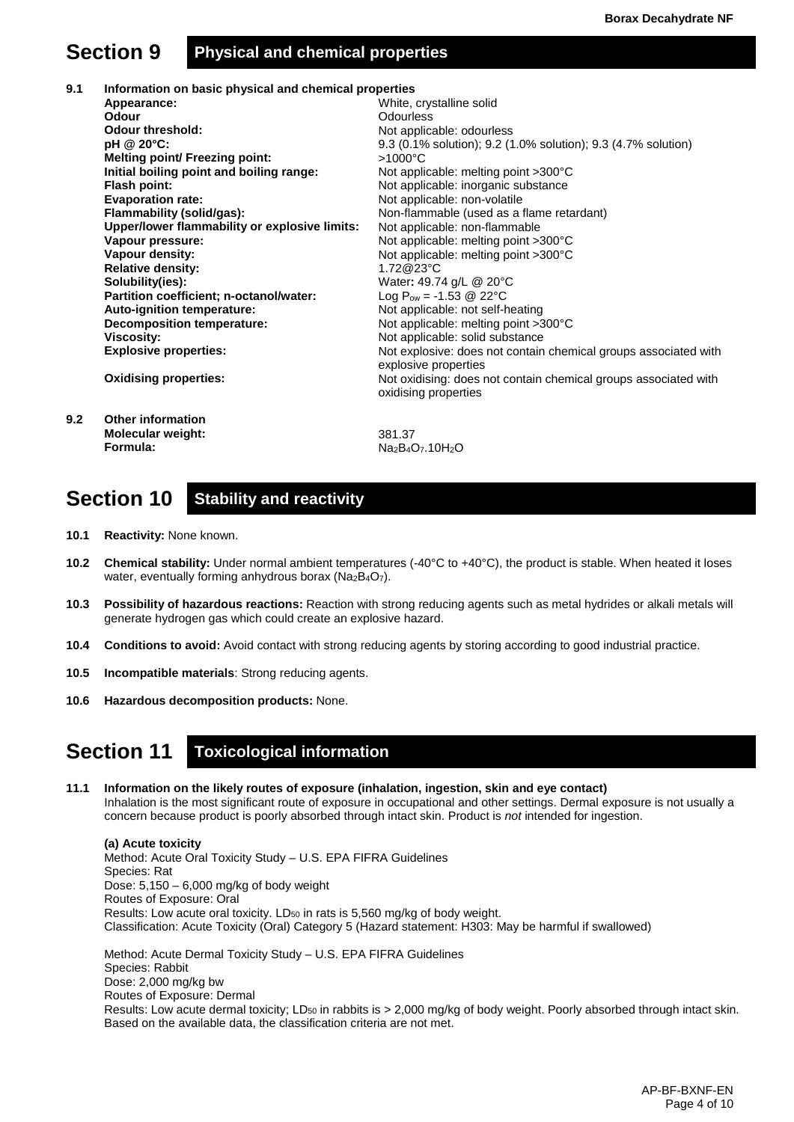# **Section 9 Physical and chemical properties**

**9.1 Information on basic physical and chemical properties Appearance: Odour Odour threshold: pH @ 20°C: Melting point/ Freezing point: Initial boiling point and boiling range: Flash point: Evaporation rate: Flammability (solid/gas): Upper/lower flammability or explosive limits: Vapour pressure: Vapour density: Relative density: Solubility(ies): Partition coefficient; n-octanol/water: Auto-ignition temperature: Decomposition temperature: Viscosity: Explosive properties: Oxidising properties:** White, crystalline solid **Odourless** Not applicable: odourless 9.3 (0.1% solution); 9.2 (1.0% solution); 9.3 (4.7% solution) >1000°C Not applicable: melting point >300°C Not applicable: inorganic substance Not applicable: non-volatile Non-flammable (used as a flame retardant) Not applicable: non-flammable Not applicable: melting point >300°C Not applicable: melting point >300°C 1.72@23°C Water**:** 49.74 g/L @ 20°C Log  $P_{ow} = -1.53 \ @ \ 22^{\circ}C$ Not applicable: not self-heating Not applicable: melting point >300°C Not applicable: solid substance Not explosive: does not contain chemical groups associated with explosive properties Not oxidising: does not contain chemical groups associated with oxidising properties **9.2 Other information Molecular weight: Formula:** 381.37 Na<sub>2</sub>B<sub>4</sub>O<sub>7</sub>.10H<sub>2</sub>O

# **Section 10 Stability and reactivity**

- **10.1 Reactivity:** None known.
- **10.2 Chemical stability:** Under normal ambient temperatures (-40°C to +40°C), the product is stable. When heated it loses water, eventually forming anhydrous borax (Na<sub>2</sub>B<sub>4</sub>O<sub>7</sub>).
- **10.3 Possibility of hazardous reactions:** Reaction with strong reducing agents such as metal hydrides or alkali metals will generate hydrogen gas which could create an explosive hazard.
- **10.4 Conditions to avoid:** Avoid contact with strong reducing agents by storing according to good industrial practice.
- **10.5 Incompatible materials**: Strong reducing agents.
- **10.6 Hazardous decomposition products:** None.

# **Section 11 Toxicological information**

**11.1 Information on the likely routes of exposure (inhalation, ingestion, skin and eye contact)** Inhalation is the most significant route of exposure in occupational and other settings. Dermal exposure is not usually a concern because product is poorly absorbed through intact skin. Product is *not* intended for ingestion.

**(a) Acute toxicity** Method: Acute Oral Toxicity Study – U.S. EPA FIFRA Guidelines Species: Rat Dose:  $5,150 - 6,000$  mg/kg of body weight Routes of Exposure: Oral Results: Low acute oral toxicity. LD<sub>50</sub> in rats is 5,560 mg/kg of body weight. Classification: Acute Toxicity (Oral) Category 5 (Hazard statement: H303: May be harmful if swallowed)

Method: Acute Dermal Toxicity Study – U.S. EPA FIFRA Guidelines Species: Rabbit Dose: 2,000 mg/kg bw Routes of Exposure: Dermal Results: Low acute dermal toxicity; LD<sub>50</sub> in rabbits is > 2,000 mg/kg of body weight. Poorly absorbed through intact skin. Based on the available data, the classification criteria are not met.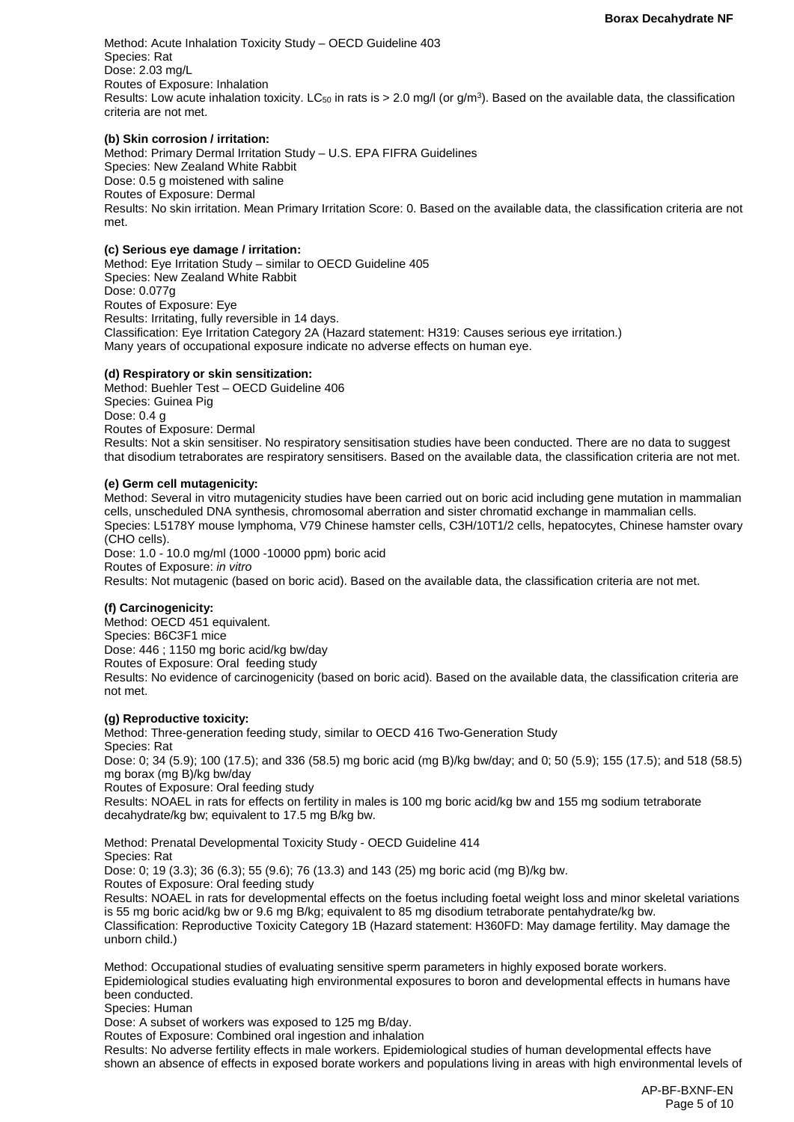Method: Acute Inhalation Toxicity Study – OECD Guideline 403 Species: Rat Dose: 2.03 mg/L Routes of Exposure: Inhalation Results: Low acute inhalation toxicity. LC<sub>50</sub> in rats is  $> 2.0$  mg/l (or g/m<sup>3</sup>). Based on the available data, the classification criteria are not met.

#### **(b) Skin corrosion / irritation:**

Method: Primary Dermal Irritation Study – U.S. EPA FIFRA Guidelines Species: New Zealand White Rabbit Dose: 0.5 g moistened with saline Routes of Exposure: Dermal Results: No skin irritation. Mean Primary Irritation Score: 0. Based on the available data, the classification criteria are not met.

### **(c) Serious eye damage / irritation:**

Method: Eye Irritation Study – similar to OECD Guideline 405 Species: New Zealand White Rabbit Dose: 0.077g Routes of Exposure: Eye Results: Irritating, fully reversible in 14 days. Classification: Eye Irritation Category 2A (Hazard statement: H319: Causes serious eye irritation.) Many years of occupational exposure indicate no adverse effects on human eye.

#### **(d) Respiratory or skin sensitization:**

Method: Buehler Test – OECD Guideline 406 Species: Guinea Pig Dose: 0.4 g Routes of Exposure: Dermal Results: Not a skin sensitiser. No respiratory sensitisation studies have been conducted. There are no data to suggest that disodium tetraborates are respiratory sensitisers. Based on the available data, the classification criteria are not met.

#### **(e) Germ cell mutagenicity:**

Method: Several in vitro mutagenicity studies have been carried out on boric acid including gene mutation in mammalian cells, unscheduled DNA synthesis, chromosomal aberration and sister chromatid exchange in mammalian cells. Species: L5178Y mouse lymphoma, V79 Chinese hamster cells, C3H/10T1/2 cells, hepatocytes, Chinese hamster ovary (CHO cells).

Dose: 1.0 - 10.0 mg/ml (1000 -10000 ppm) boric acid Routes of Exposure: *in vitro* Results: Not mutagenic (based on boric acid). Based on the available data, the classification criteria are not met.

### **(f) Carcinogenicity:**

Method: OECD 451 equivalent. Species: B6C3F1 mice Dose: 446 ; 1150 mg boric acid/kg bw/day Routes of Exposure: Oral feeding study Results: No evidence of carcinogenicity (based on boric acid). Based on the available data, the classification criteria are not met.

# **(g) Reproductive toxicity:**

Method: Three-generation feeding study, similar to OECD 416 Two-Generation Study Species: Rat Dose: 0; 34 (5.9); 100 (17.5); and 336 (58.5) mg boric acid (mg B)/kg bw/day; and 0; 50 (5.9); 155 (17.5); and 518 (58.5) mg borax (mg B)/kg bw/day Routes of Exposure: Oral feeding study Results: NOAEL in rats for effects on fertility in males is 100 mg boric acid/kg bw and 155 mg sodium tetraborate decahydrate/kg bw; equivalent to 17.5 mg B/kg bw.

Method: Prenatal Developmental Toxicity Study - OECD Guideline 414 Species: Rat Dose: 0; 19 (3.3); 36 (6.3); 55 (9.6); 76 (13.3) and 143 (25) mg boric acid (mg B)/kg bw. Routes of Exposure: Oral feeding study Results: NOAEL in rats for developmental effects on the foetus including foetal weight loss and minor skeletal variations is 55 mg boric acid/kg bw or 9.6 mg B/kg; equivalent to 85 mg disodium tetraborate pentahydrate/kg bw. Classification: Reproductive Toxicity Category 1B (Hazard statement: H360FD: May damage fertility. May damage the unborn child.)

Method: Occupational studies of evaluating sensitive sperm parameters in highly exposed borate workers. Epidemiological studies evaluating high environmental exposures to boron and developmental effects in humans have been conducted.

Species: Human

Dose: A subset of workers was exposed to 125 mg B/day.

Routes of Exposure: Combined oral ingestion and inhalation

Results: No adverse fertility effects in male workers. Epidemiological studies of human developmental effects have shown an absence of effects in exposed borate workers and populations living in areas with high environmental levels of

> AP-BF-BXNF-EN Page 5 of 10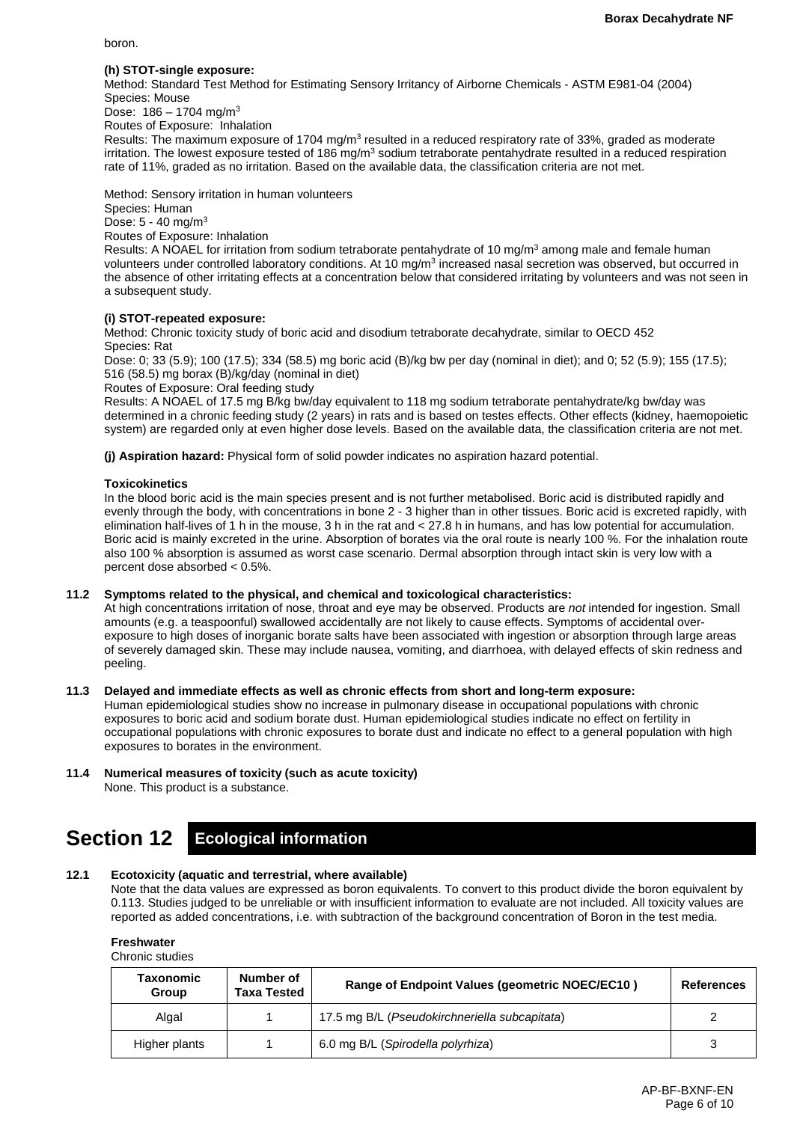boron.

### **(h) STOT-single exposure:**

Method: Standard Test Method for Estimating Sensory Irritancy of Airborne Chemicals - ASTM E981-04 (2004) Species: Mouse

Dose:  $186 - 1704$  mg/m<sup>3</sup> Routes of Exposure: Inhalation

Results: The maximum exposure of 1704 mg/m<sup>3</sup> resulted in a reduced respiratory rate of 33%, graded as moderate irritation. The lowest exposure tested of 186 mg/m<sup>3</sup> sodium tetraborate pentahydrate resulted in a reduced respiration rate of 11%, graded as no irritation. Based on the available data, the classification criteria are not met.

Method: Sensory irritation in human volunteers

Species: Human

Dose: 5 - 40 mg/m3

Routes of Exposure: Inhalation

Results: A NOAEL for irritation from sodium tetraborate pentahydrate of 10 mg/m<sup>3</sup> among male and female human volunteers under controlled laboratory conditions. At 10 mg/m<sup>3</sup> increased nasal secretion was observed, but occurred in the absence of other irritating effects at a concentration below that considered irritating by volunteers and was not seen in a subsequent study.

# **(i) STOT-repeated exposure:**

Method: Chronic toxicity study of boric acid and disodium tetraborate decahydrate, similar to OECD 452 Species: Rat

Dose: 0; 33 (5.9); 100 (17.5); 334 (58.5) mg boric acid (B)/kg bw per day (nominal in diet); and 0; 52 (5.9); 155 (17.5); 516 (58.5) mg borax (B)/kg/day (nominal in diet)

Routes of Exposure: Oral feeding study

Results: A NOAEL of 17.5 mg B/kg bw/day equivalent to 118 mg sodium tetraborate pentahydrate/kg bw/day was determined in a chronic feeding study (2 years) in rats and is based on testes effects. Other effects (kidney, haemopoietic system) are regarded only at even higher dose levels. Based on the available data, the classification criteria are not met.

**(j) Aspiration hazard:** Physical form of solid powder indicates no aspiration hazard potential.

# **Toxicokinetics**

In the blood boric acid is the main species present and is not further metabolised. Boric acid is distributed rapidly and evenly through the body, with concentrations in bone 2 - 3 higher than in other tissues. Boric acid is excreted rapidly, with elimination half-lives of 1 h in the mouse, 3 h in the rat and < 27.8 h in humans, and has low potential for accumulation. Boric acid is mainly excreted in the urine. Absorption of borates via the oral route is nearly 100 %. For the inhalation route also 100 % absorption is assumed as worst case scenario. Dermal absorption through intact skin is very low with a percent dose absorbed < 0.5%.

### **11.2 Symptoms related to the physical, and chemical and toxicological characteristics:**

At high concentrations irritation of nose, throat and eye may be observed. Products are *not* intended for ingestion. Small amounts (e.g. a teaspoonful) swallowed accidentally are not likely to cause effects. Symptoms of accidental overexposure to high doses of inorganic borate salts have been associated with ingestion or absorption through large areas of severely damaged skin. These may include nausea, vomiting, and diarrhoea, with delayed effects of skin redness and peeling.

### **11.3 Delayed and immediate effects as well as chronic effects from short and long-term exposure:**

Human epidemiological studies show no increase in pulmonary disease in occupational populations with chronic exposures to boric acid and sodium borate dust. Human epidemiological studies indicate no effect on fertility in occupational populations with chronic exposures to borate dust and indicate no effect to a general population with high exposures to borates in the environment.

# **11.4 Numerical measures of toxicity (such as acute toxicity)**

None. This product is a substance.

# **Section 12 Ecological information**

# **12.1 Ecotoxicity (aquatic and terrestrial, where available)**

Note that the data values are expressed as boron equivalents. To convert to this product divide the boron equivalent by 0.113. Studies judged to be unreliable or with insufficient information to evaluate are not included. All toxicity values are reported as added concentrations, i.e. with subtraction of the background concentration of Boron in the test media.

**Freshwater**

Chronic studies

| Taxonomic<br>Group | Number of<br><b>Taxa Tested</b> | Range of Endpoint Values (geometric NOEC/EC10) | <b>References</b> |
|--------------------|---------------------------------|------------------------------------------------|-------------------|
| Algal              |                                 | 17.5 mg B/L (Pseudokirchneriella subcapitata)  |                   |
| Higher plants      |                                 | 6.0 mg B/L (Spirodella polyrhiza)              | 3                 |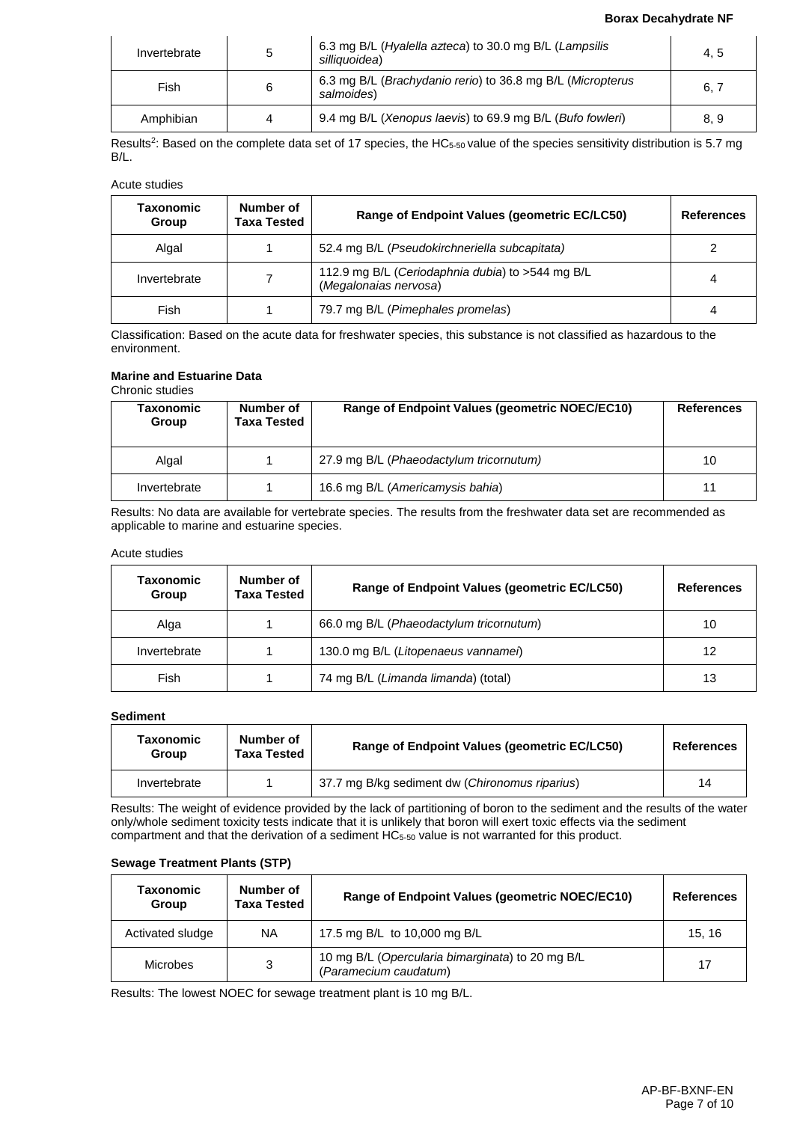#### **Borax Decahydrate NF**

| Invertebrate | 5 | 6.3 mg B/L (Hyalella azteca) to 30.0 mg B/L (Lampsilis<br>silliauoidea)  | 4.5  |
|--------------|---|--------------------------------------------------------------------------|------|
| Fish         | 6 | 6.3 mg B/L (Brachydanio rerio) to 36.8 mg B/L (Micropterus<br>salmoides) | 6, 7 |
| Amphibian    | 4 | 9.4 mg B/L (Xenopus laevis) to 69.9 mg B/L (Bufo fowleri)                | 8,9  |

Results<sup>2</sup>: Based on the complete data set of 17 species, the HC<sub>5-50</sub> value of the species sensitivity distribution is 5.7 mg B/L.

Acute studies

| <b>Taxonomic</b><br>Group | Number of<br>Taxa Tested | Range of Endpoint Values (geometric EC/LC50)                              |   |
|---------------------------|--------------------------|---------------------------------------------------------------------------|---|
| Algal                     |                          | 52.4 mg B/L (Pseudokirchneriella subcapitata)                             |   |
| Invertebrate              |                          | 112.9 mg B/L (Ceriodaphnia dubia) to >544 mg B/L<br>(Megalonaias nervosa) | 4 |
| Fish                      |                          | 79.7 mg B/L (Pimephales promelas)                                         | 4 |

Classification: Based on the acute data for freshwater species, this substance is not classified as hazardous to the environment.

# **Marine and Estuarine Data**

Chronic studies

| Taxonomic<br>Group | Number of<br>Taxa Tested | Range of Endpoint Values (geometric NOEC/EC10) | <b>References</b> |
|--------------------|--------------------------|------------------------------------------------|-------------------|
| Algal              |                          | 27.9 mg B/L (Phaeodactylum tricornutum)        | 10                |
| Invertebrate       |                          | 16.6 mg B/L (Americamysis bahia)               | 11                |

Results: No data are available for vertebrate species. The results from the freshwater data set are recommended as applicable to marine and estuarine species.

#### Acute studies

| <b>Taxonomic</b><br>Group | Number of<br><b>Taxa Tested</b> | Range of Endpoint Values (geometric EC/LC50) | <b>References</b> |
|---------------------------|---------------------------------|----------------------------------------------|-------------------|
| Alga                      |                                 | 66.0 mg B/L (Phaeodactylum tricornutum)      | 10                |
| Invertebrate              |                                 | 130.0 mg B/L (Litopenaeus vannamei)          | 12                |
| Fish                      |                                 | 74 mg B/L (Limanda limanda) (total)          | 13                |

### **Sediment**

| Taxonomic<br>Group | Number of<br><b>Taxa Tested</b> | Range of Endpoint Values (geometric EC/LC50)   | <b>References</b> |
|--------------------|---------------------------------|------------------------------------------------|-------------------|
| Invertebrate       |                                 | 37.7 mg B/kg sediment dw (Chironomus riparius) | 14                |

Results: The weight of evidence provided by the lack of partitioning of boron to the sediment and the results of the water only/whole sediment toxicity tests indicate that it is unlikely that boron will exert toxic effects via the sediment compartment and that the derivation of a sediment HC5-50 value is not warranted for this product.

### **Sewage Treatment Plants (STP)**

| Taxonomic<br>Group | Number of<br><b>Taxa Tested</b> | Range of Endpoint Values (geometric NOEC/EC10)                            | <b>References</b> |
|--------------------|---------------------------------|---------------------------------------------------------------------------|-------------------|
| Activated sludge   | ΝA                              | 17.5 mg B/L to 10,000 mg B/L                                              | 15.16             |
| <b>Microbes</b>    | 3                               | 10 mg B/L (Opercularia bimarginata) to 20 mg B/L<br>(Paramecium caudatum) | 17                |

Results: The lowest NOEC for sewage treatment plant is 10 mg B/L.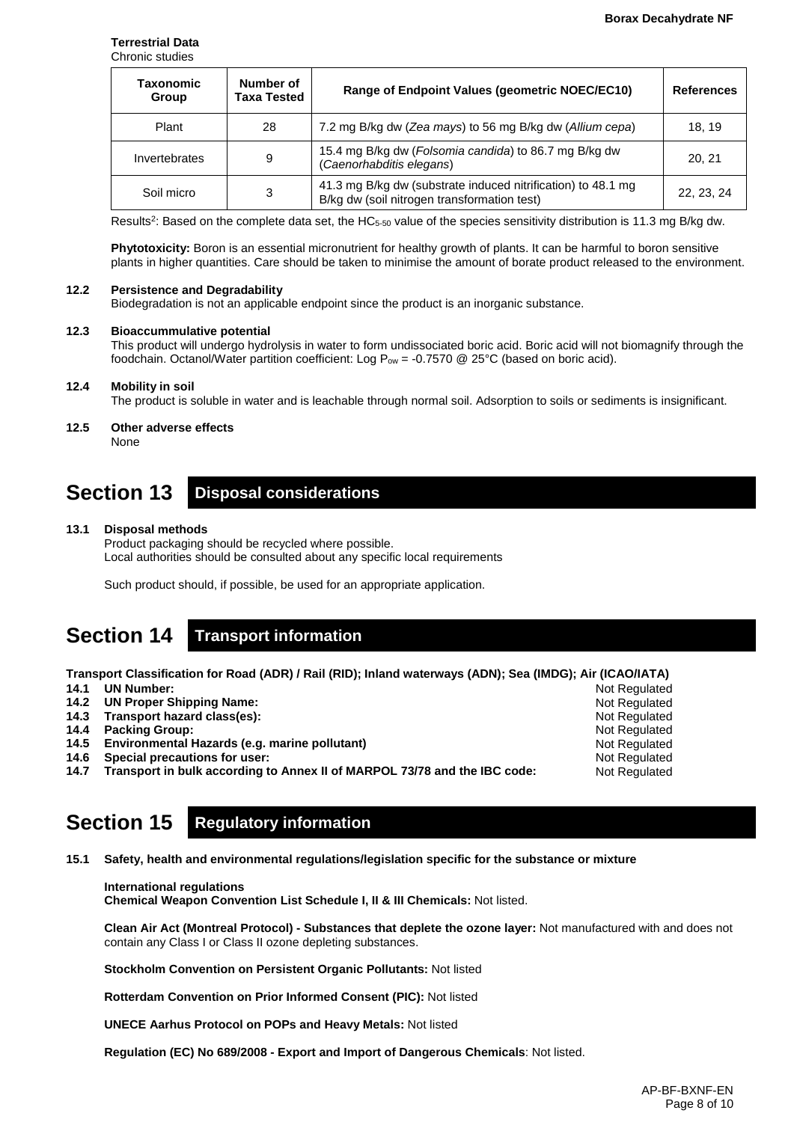#### **Terrestrial Data** Chronic studies

| Number of<br>Taxonomic<br><b>Taxa Tested</b><br>Group |    | Range of Endpoint Values (geometric NOEC/EC10)                                                              | <b>References</b><br>18.19 |  |
|-------------------------------------------------------|----|-------------------------------------------------------------------------------------------------------------|----------------------------|--|
| Plant                                                 | 28 | 7.2 mg B/kg dw (Zea mays) to 56 mg B/kg dw (Allium cepa)                                                    |                            |  |
| Invertebrates                                         | 9  | 15.4 mg B/kg dw (Folsomia candida) to 86.7 mg B/kg dw<br>(Caenorhabditis elegans)                           | 20.21                      |  |
| Soil micro                                            | 3  | 41.3 mg B/kg dw (substrate induced nitrification) to 48.1 mg<br>B/kg dw (soil nitrogen transformation test) | 22, 23, 24                 |  |

Results<sup>2</sup>: Based on the complete data set, the HC<sub>5-50</sub> value of the species sensitivity distribution is 11.3 mg B/kg dw.

**Phytotoxicity:** Boron is an essential micronutrient for healthy growth of plants. It can be harmful to boron sensitive plants in higher quantities. Care should be taken to minimise the amount of borate product released to the environment.

#### **12.2 Persistence and Degradability**

Biodegradation is not an applicable endpoint since the product is an inorganic substance.

### **12.3 Bioaccummulative potential**

This product will undergo hydrolysis in water to form undissociated boric acid. Boric acid will not biomagnify through the foodchain. Octanol/Water partition coefficient: Log  $P_{ow} = -0.7570$  @ 25°C (based on boric acid).

#### **12.4 Mobility in soil**

The product is soluble in water and is leachable through normal soil. Adsorption to soils or sediments is insignificant.

**12.5 Other adverse effects**

None

# **Section 13 Disposal considerations**

#### **13.1 Disposal methods**

Product packaging should be recycled where possible. Local authorities should be consulted about any specific local requirements

Such product should, if possible, be used for an appropriate application.

# **Section 14 Transport information**

**Transport Classification for Road (ADR) / Rail (RID); Inland waterways (ADN); Sea (IMDG); Air (ICAO/IATA)**

- **14.1 UN Number:**
- **14.2 UN Proper Shipping Name:**
- **14.3 Transport hazard class(es):**
- **14.4 Packing Group:**
- **14.5 Environmental Hazards (e.g. marine pollutant)**
- **14.6 Special precautions for user:**
- **14.7 Transport in bulk according to Annex II of MARPOL 73/78 and the IBC code:**

# **Section 15 Regulatory information**

**15.1 Safety, health and environmental regulations/legislation specific for the substance or mixture**

### **International regulations**

**Chemical Weapon Convention List Schedule I, II & III Chemicals:** Not listed.

**Clean Air Act (Montreal Protocol) - Substances that deplete the ozone layer:** Not manufactured with and does not contain any Class I or Class II ozone depleting substances.

**Stockholm Convention on Persistent Organic Pollutants:** Not listed

**Rotterdam Convention on Prior Informed Consent (PIC):** Not listed

**UNECE Aarhus Protocol on POPs and Heavy Metals:** Not listed

**Regulation (EC) No 689/2008 - Export and Import of Dangerous Chemicals**: Not listed.

Not Regulated Not Regulated Not Regulated Not Regulated Not Regulated Not Regulated Not Regulated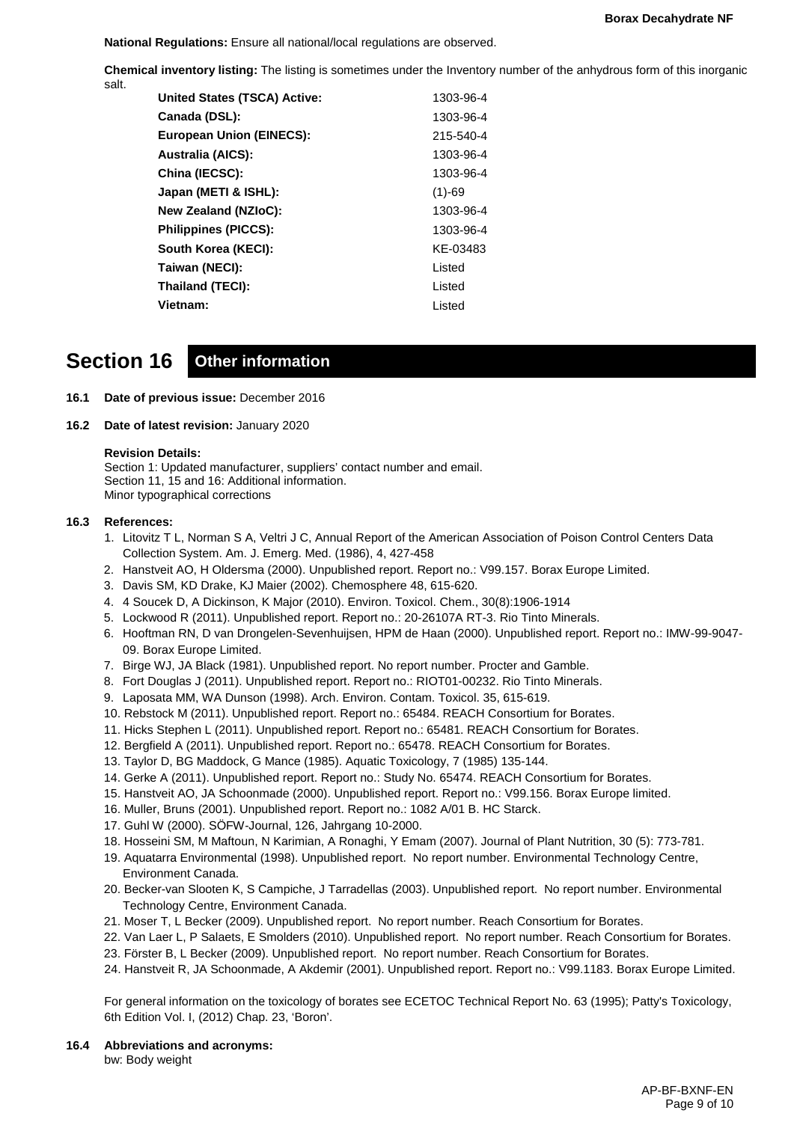**National Regulations:** Ensure all national/local regulations are observed.

**Chemical inventory listing:** The listing is sometimes under the Inventory number of the anhydrous form of this inorganic salt.

| <b>United States (TSCA) Active:</b> | 1303-96-4 |
|-------------------------------------|-----------|
| Canada (DSL):                       | 1303-96-4 |
| <b>European Union (EINECS):</b>     | 215-540-4 |
| <b>Australia (AICS):</b>            | 1303-96-4 |
| China (IECSC):                      | 1303-96-4 |
| Japan (METI & ISHL):                | $(1)-69$  |
| <b>New Zealand (NZIoC):</b>         | 1303-96-4 |
| <b>Philippines (PICCS):</b>         | 1303-96-4 |
| South Korea (KECI):                 | KE-03483  |
| Taiwan (NECI):                      | Listed    |
| Thailand (TECI):                    | Listed    |
| Vietnam:                            | Listed    |
|                                     |           |

# **Section 16 Other information**

- **16.1 Date of previous issue:** December 2016
- **16.2 Date of latest revision:** January 2020

# **Revision Details:**

Section 1: Updated manufacturer, suppliers' contact number and email. Section 11, 15 and 16: Additional information. Minor typographical corrections

# **16.3 References:**

- 1. Litovitz T L, Norman S A, Veltri J C, Annual Report of the American Association of Poison Control Centers Data Collection System. Am. J. Emerg. Med. (1986), 4, 427-458
- 2. Hanstveit AO, H Oldersma (2000). Unpublished report. Report no.: V99.157. Borax Europe Limited.
- 3. Davis SM, KD Drake, KJ Maier (2002). Chemosphere 48, 615-620.
- 4. 4 Soucek D, A Dickinson, K Major (2010). Environ. Toxicol. Chem., 30(8):1906-1914
- 5. Lockwood R (2011). Unpublished report. Report no.: 20-26107A RT-3. Rio Tinto Minerals.
- 6. Hooftman RN, D van Drongelen-Sevenhuijsen, HPM de Haan (2000). Unpublished report. Report no.: IMW-99-9047- 09. Borax Europe Limited.
- 7. Birge WJ, JA Black (1981). Unpublished report. No report number. Procter and Gamble.
- 8. Fort Douglas J (2011). Unpublished report. Report no.: RIOT01-00232. Rio Tinto Minerals.
- 9. Laposata MM, WA Dunson (1998). Arch. Environ. Contam. Toxicol. 35, 615-619.
- 10. Rebstock M (2011). Unpublished report. Report no.: 65484. REACH Consortium for Borates.
- 11. Hicks Stephen L (2011). Unpublished report. Report no.: 65481. REACH Consortium for Borates.
- 12. Bergfield A (2011). Unpublished report. Report no.: 65478. REACH Consortium for Borates.
- 13. Taylor D, BG Maddock, G Mance (1985). Aquatic Toxicology, 7 (1985) 135-144.
- 14. Gerke A (2011). Unpublished report. Report no.: Study No. 65474. REACH Consortium for Borates.
- 15. Hanstveit AO, JA Schoonmade (2000). Unpublished report. Report no.: V99.156. Borax Europe limited.
- 16. Muller, Bruns (2001). Unpublished report. Report no.: 1082 A/01 B. HC Starck.
- 17. Guhl W (2000). SÖFW-Journal, 126, Jahrgang 10-2000.
- 18. Hosseini SM, M Maftoun, N Karimian, A Ronaghi, Y Emam (2007). Journal of Plant Nutrition, 30 (5): 773-781.
- 19. Aquatarra Environmental (1998). Unpublished report. No report number. Environmental Technology Centre,
- Environment Canada.
- 20. Becker-van Slooten K, S Campiche, J Tarradellas (2003). Unpublished report. No report number. Environmental Technology Centre, Environment Canada.
- 21. Moser T, L Becker (2009). Unpublished report. No report number. Reach Consortium for Borates.
- 22. Van Laer L, P Salaets, E Smolders (2010). Unpublished report. No report number. Reach Consortium for Borates.
- 23. Förster B, L Becker (2009). Unpublished report. No report number. Reach Consortium for Borates.
- 24. Hanstveit R, JA Schoonmade, A Akdemir (2001). Unpublished report. Report no.: V99.1183. Borax Europe Limited.

For general information on the toxicology of borates see ECETOC Technical Report No. 63 (1995); Patty's Toxicology, 6th Edition Vol. I, (2012) Chap. 23, 'Boron'.

**16.4 Abbreviations and acronyms:** bw: Body weight